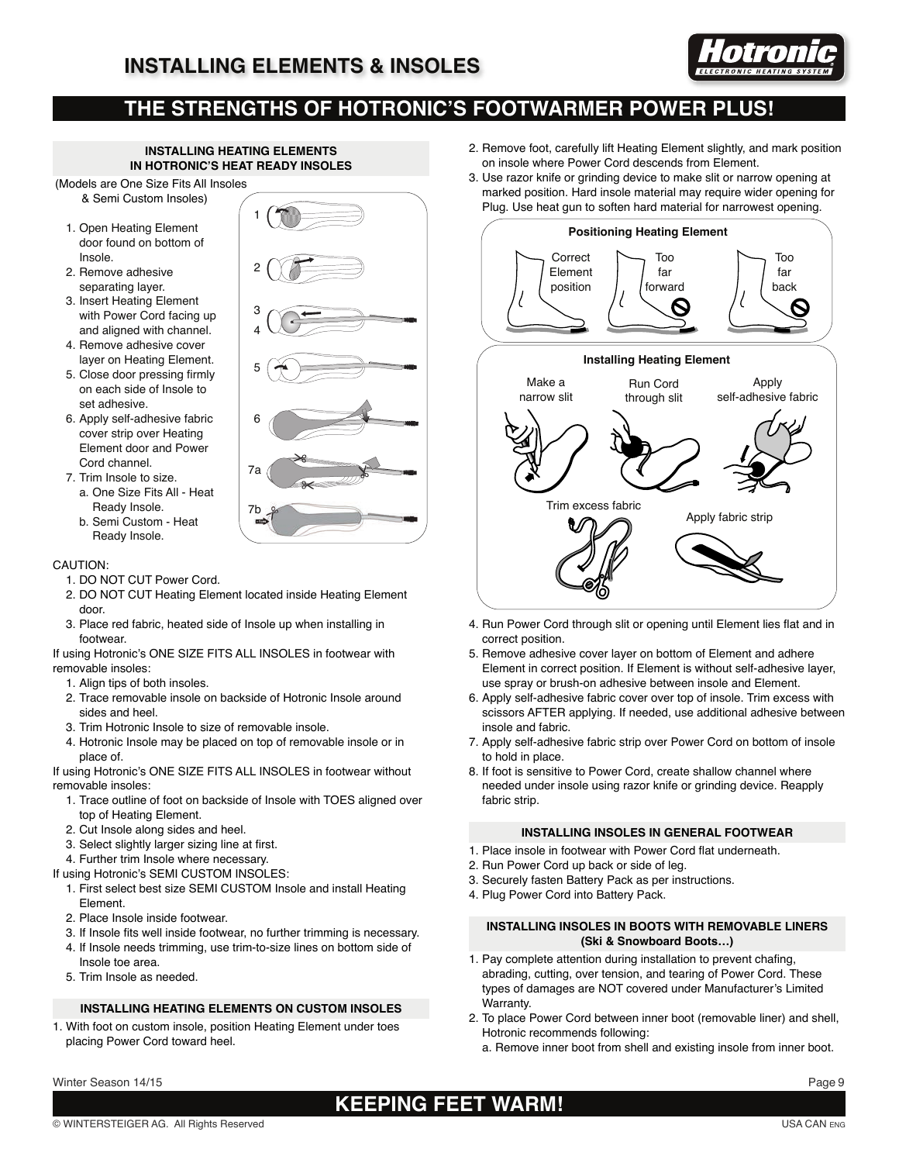

## **THE STRENGTHS OF HOTRONIC'S FOOTWARMER POWER PLUS!**

#### **INSTALLING HEATING ELEMENTS IN HOTRONIC'S HEAT READY INSOLES**

- (Models are One Size Fits All Insoles & Semi Custom Insoles)
	- 1. Open Heating Element door found on bottom of Insole.
	- 2. Remove adhesive separating layer.
	- 3. Insert Heating Element with Power Cord facing up and aligned with channel.
	- 4. Remove adhesive cover layer on Heating Element.
	- 5. Close door pressing firmly on each side of Insole to set adhesive.
	- 6. Apply self-adhesive fabric cover strip over Heating Element door and Power Cord channel.
	- 7. Trim Insole to size.
		- a. One Size Fits All Heat Ready Insole.
		- b. Semi Custom Heat Ready Insole.



#### CAUTION:

- 1. DO NOT CUT Power Cord.
- 2. DO NOT CUT Heating Element located inside Heating Element door.
- 3. Place red fabric, heated side of Insole up when installing in footwear.

If using Hotronic's ONE SIZE FITS ALL INSOLES in footwear with removable insoles:

- 1. Align tips of both insoles.
- 2. Trace removable insole on backside of Hotronic Insole around sides and heel.
- 3. Trim Hotronic Insole to size of removable insole.
- 4. Hotronic Insole may be placed on top of removable insole or in place of.

If using Hotronic's ONE SIZE FITS ALL INSOLES in footwear without removable insoles:

- 1. Trace outline of foot on backside of Insole with TOES aligned over top of Heating Element.
- 2. Cut Insole along sides and heel.
- 3. Select slightly larger sizing line at first.
- 4. Further trim Insole where necessary.
- If using Hotronic's SEMI CUSTOM INSOLES:
	- 1. First select best size SEMI CUSTOM Insole and install Heating Element.
	- 2. Place Insole inside footwear.
	- 3. If Insole fits well inside footwear, no further trimming is necessary.
	- 4. If Insole needs trimming, use trim-to-size lines on bottom side of Insole toe area.
	- 5. Trim Insole as needed.

#### **INSTALLING HEATING ELEMENTS ON CUSTOM INSOLES**

1. With foot on custom insole, position Heating Element under toes placing Power Cord toward heel.

- 2. Remove foot, carefully lift Heating Element slightly, and mark position on insole where Power Cord descends from Element.
- 3. Use razor knife or grinding device to make slit or narrow opening at marked position. Hard insole material may require wider opening for Plug. Use heat gun to soften hard material for narrowest opening.



- 4. Run Power Cord through slit or opening until Element lies flat and in correct position.
- 5. Remove adhesive cover layer on bottom of Element and adhere Element in correct position. If Element is without self-adhesive layer, use spray or brush-on adhesive between insole and Element.
- 6. Apply self-adhesive fabric cover over top of insole. Trim excess with scissors AFTER applying. If needed, use additional adhesive between insole and fabric.
- 7. Apply self-adhesive fabric strip over Power Cord on bottom of insole to hold in place.
- 8. If foot is sensitive to Power Cord, create shallow channel where needed under insole using razor knife or grinding device. Reapply fabric strip.

#### **INSTALLING INSOLES IN GENERAL FOOTWEAR**

- 1. Place insole in footwear with Power Cord flat underneath.
- 2. Run Power Cord up back or side of leg.
- 3. Securely fasten Battery Pack as per instructions.
- 4. Plug Power Cord into Battery Pack.

#### **INSTALLING INSOLES IN BOOTS WITH REMOVABLE LINERS (Ski & Snowboard Boots…)**

- 1. Pay complete attention during installation to prevent chafing, abrading, cutting, over tension, and tearing of Power Cord. These types of damages are NOT covered under Manufacturer's Limited Warranty.
- 2. To place Power Cord between inner boot (removable liner) and shell, Hotronic recommends following:
	- a. Remove inner boot from shell and existing insole from inner boot.

# **KEEPING FEET WARM!**